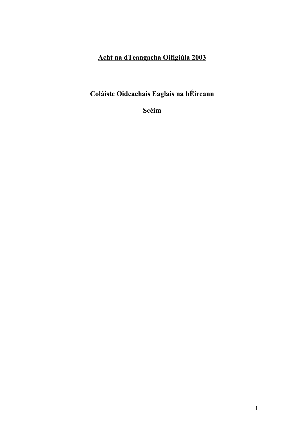# Acht na dTeangacha Oifigiúla 2003

# Coláiste Oideachais Eaglais na hÉireann

Scéim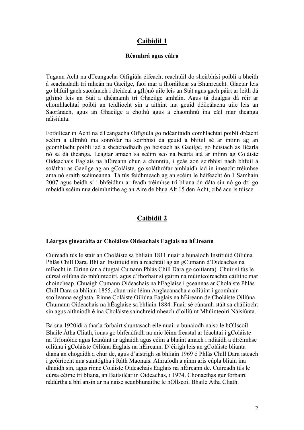# Caibidil 1

#### Réamhrá agus cúlra

Tugann Acht na dTeangacha Oifigiúla éifeacht reachtúil do sheirbhísí poiblí a bheith á seachadadh trí mheán na Gaeilge, faoi mar a fhoráiltear sa Bhunreacht. Glactar leis go bhfuil gach saoránach i dteideal a g(h)nó uile leis an Stát agus gach páirt ar leith dá g(h)nó leis an Stát a dhéanamh trí Ghaeilge amháin. Agus tá dualgas dá réir ar chomhlachtaí poiblí an teidlíocht sin a aithint ina gcuid déileálacha uile leis an Saoránach, agus an Ghaeilge a chothú agus a chaomhnú ina cáil mar theanga náisiúnta.

Foráiltear in Acht na dTeangacha Oifigiúla go ndéanfaidh comhlachtaí poiblí dréacht scéim a ullmhú ina sonrófar na seirbhísí dá gcuid a bhfuil sé ar intinn ag an gcomhlacht poiblí iad a sheachadhadh go heisiach as Gaeilge, go heisiach as Béarla nó sa dá theanga. Leagtar amach sa scéim seo na bearta atá ar intinn ag Coláiste Oideachais Eaglais na hÉireann chun a chinntiú, i gcás aon seirbhísí nach bhfuil á soláthar as Gaeilge ag an gColáiste, go soláthrófar amhlaidh iad in imeacht tréimhse ama nó sraith scéimeanna. Tá tús feidhmeach ag an scéim le héifeacht ón 1 Samhain 2007 agus beidh sí i bhfeidhm ar feadh tréimhse trí bliana ón dáta sin nó go dtí go mbeidh scéim nua deimhnithe ag an Aire de bhua Alt 15 den Acht, cibé acu is túisce.

# Caibidil 2

#### Léargas ginearálta ar Choláiste Oideachais Eaglais na hÉireann

Cuireadh tús le stair an Choláiste sa bhliain 1811 nuair a bunaíodh Institiúid Oiliúna Phlás Chill Dara. Bhí an Institiúid sin á reáchtáil ag an gCumann d'Oideachas na mBocht in Éirinn (ar a dtugtaí Cumann Phlás Chill Dara go coitianta). Chuir sí tús le cúrsaí oiliúna do mhúinteoirí, agus d'fhorbair sí gairm na múinteoireachta cáilithe mar choincheap. Chuaigh Cumann Oideachais na hEaglaise i gceannas ar Choláiste Phlás Chill Dara sa bhliain 1855, chun mic léinn Anglacánacha a oiliúint i gcomhair scoileanna eaglasta. Rinne Coláiste Oiliúna Eaglais na hÉireann de Choláiste Oiliúna Chumann Oideachais na hÉaglaise sa bhliain 1884. Fuair sé cúnamh stáit sa cháilíocht sin agus aithníodh é ina Choláiste sainchreidmheach d'oiliúint Mhúinteoirí Náisiúnta.

Ba sna 1920idí a tharla forbairt shuntasach eile nuair a bunaíodh naisc le hOllscoil Bhaile Átha Cliath, ionas go bhféadfadh na mic léinn freastal ar léachtaí i gColáiste na Tríonóide agus leanúint ar aghaidh agus céim a bhaint amach i ndiaidh a dtréimhse oiliúna i gColáiste Oiliúna Eaglais na hÉireann. D'éirigh leis an gColáiste blianta diana an chogaidh a chur de, agus d'aistrigh sa bhliain 1969 ó Phlás Chill Dara isteach i gcóiríocht nua saintógtha i Ráth Maonais. Athraíodh a ainm arís cúpla bliain ina dhiaidh sin, agus rinne Coláiste Oideachais Eaglais na hÉireann de. Cuireadh tús le cúrsa céime trí bliana, an Baitsiléar in Oideachas, i 1974. Chonacthas gur forbairt nádúrtha a bhí ansin ar na naisc seanbhunaithe le hOllscoil Bhaile Átha Cliath.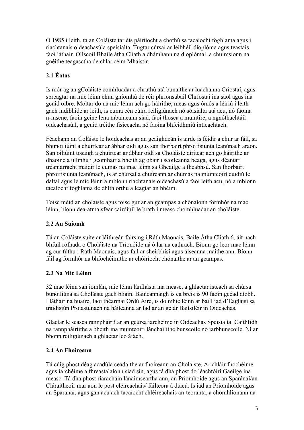Ó 1985 i leith, tá an Coláiste tar éis páirtíocht a chothú sa tacaíocht foghlama agus i riachtanais oideachasúla speisialta. Tugtar cúrsaí ar leibhéil dioplóma agus teastais faoi láthair. Ollscoil Bhaile átha Cliath a dhámhann na dioplómaí, a chuimsíonn na gnéithe teagasctha de chlár céim Mháistir.

# 2.1 Éatas

Is mór ag an gColáiste comhluadar a chruthú atá bunaithe ar luachanna Críostaí, agus spreagtar na mic léinn chun gníomhú de réir phrionsabail Chríostaí ina saol agus ina gcuid oibre. Moltar do na mic léinn ach go háirithe, meas agus ómós a léiriú i leith gach indibhide ar leith, is cuma cén cúlra reiligiúnach nó sóisialta atá acu, nó faoina n-inscne, faoin gcine lena mbaineann siad, faoi thosca a muintire, a ngnóthachtáil oideachasúil, a gcuid tréithe fisiceacha nó faoina bhfeidhmiú intleachtach.

Féachann an Coláiste le hoideachas ar an gcaighdeán is airde is féidir a chur ar fáil, sa bhunoiliúint a chuirtear ar ábhar oidí agus san fhorbairt phroifisiúnta leanúnach araon. San oiliúint tosaigh a chuirtear ar ábhar oidí sa Choláiste dírítear ach go háirithe ar dhaoine a ullmhú i gcomhair a bheith ag obair i scoileanna beaga, agus déantar tréaniarracht maidir le cumas na mac léinn sa Gheailge a fheabhsú. San fhorbairt phroifisiúnta leanúnach, is ar chúrsaí a chuireann ar chumas na múinteoirí cuidiú le daltaí agus le mic léinn a mbíonn riachtanais oideachasúla faoi leith acu, nó a mbíonn tacaíocht foghlama de dhíth orthu a leagtar an bhéim.

Toisc méid an choláiste agus toisc gur ar an gcampas a chónaíonn formhór na mac léinn, bíonn dea-atmaisféar cairdiúil le brath i measc chomhluadar an choláiste.

# 2.2 An Suíomh

Tá an Coláiste suite ar láithreán fairsing i Ráth Maonais, Baile Átha Cliath 6, áit nach bhfuil rófhada ó Choláiste na Tríonóide ná ó lár na cathrach. Bíonn go leor mac léinn ag cur fúthu i Ráth Maonais, agus fáil ar sheirbhísí agus áiseanna maithe ann. Bíonn fáil ag formhór na bhfochéimithe ar chóiríocht chónaithe ar an gcampas.

# 2.3 Na Mic Léinn

32 mac léinn san iomlán, mic léinn lánfhásta ina measc, a ghlactar isteach sa chúrsa bunoiliúna sa Choláiste gach bliain. Baineannaigh is ea breis is 90 faoin gcéad díobh. I láthair na huaire, faoi théarmaí Ordú Aire, is do mhic léinn ar baill iad d'Eaglaisí sa traidisiún Protastúnach na háiteanna ar fad ar an gclár Baitsiléir in Oideachas.

Glactar le seasca rannpháirtí ar an gcúrsa iarchéime in Oideachas Speisialta. Caithfidh na rannpháirtithe a bheith ina muinteoirí láncháilithe bunscoile nó iarbhunscoile. Ní ar bhonn reiligiúnach a ghlactar leo áfach.

# 2.4 An Fhoireann

Tá cúig phost déag acadúla ceadaithe ar fhoireann an Choláiste. Ar chláir fhochéime agus iarchéime a fhreastalaíonn siad sin, agus tá dhá phost do léachtóirí Gaeilge ina measc. Tá dhá phost riaracháin lánaimseartha ann, an Príomhoide agus an Sparánaí/an Cláraitheoir mar aon le post cléireachais/ fáilteora á dtacú. Is iad an Príomhoide agus an Sparánaí, agus gan acu ach tacaíocht chléireachais an-teoranta, a chomhlíonann na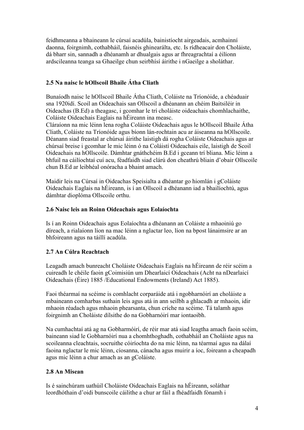feidhmeanna a bhaineann le cúrsaí acadúla, bainistíocht airgeadais, acmhainní daonna, foirgnimh, cothabháil, faisnéis ghinearálta, etc. Is rídheacair don Choláiste, dá bharr sin, sannadh a dhéanamh ar dhualgais agus ar fhreagrachtaí a éilíonn ardscileanna teanga sa Ghaeilge chun seirbhísí áirithe i nGaeilge a sholáthar.

### 2.5 Na naisc le hOllscoil Bhaile Átha Cliath

Bunaíodh naisc le hOllscoil Bhaile Átha Cliath, Coláiste na Tríonóide, a chéaduair sna 1920idí. Scoil an Oideachais san Ollscoil a dhéanann an chéim Baitsiléir in Oideachas (B.Ed) a theagasc, i gcomhar le trí choláiste oideachais chomhlachaithe, Coláiste Oideachais Eaglais na hÉireann ina measc.

Cláraíonn na mic léinn lena rogha Coláiste Oideachais agus le hOllscoil Bhaile Átha Cliath, Coláiste na Tríonóide agus bíonn lán-rochtain acu ar áiseanna na hOllscoile. Déanann siad freastal ar chúrsaí áirithe laistigh dá rogha Coláiste Oideachais agus ar chúrsaí breise i gcomhar le mic léinn ó na Coláistí Oideachais eile, laistigh de Scoil Oideachais na hOllscoile. Dámhtar gnáthchéim B.Ed i gceann trí bliana. Mic léinn a bhfuil na cáilíochtaí cuí acu, féadfaidh siad clárú don cheathrú bliain d'obair Ollscoile chun B.Ed ar leibhéal onóracha a bhaint amach.

Maidir leis na Cúrsaí in Oideachas Speisialta a dhéantar go hiomlán i gColáiste Oideachais Eaglais na hÉireann, is í an Ollscoil a dhéanann iad a bhailíochtú, agus dámhtar dioplóma Ollscoile orthu.

### 2.6 Naisc leis an Roinn Oideachais agus Eolaíochta

Is í an Roinn Oideachais agus Eolaíochta a dhéanann an Coláiste a mhaoiniú go díreach, a rialaíonn líon na mac léinn a nglactar leo, líon na bpost lánaimsire ar an bhfoireann agus na táillí acadúla.

### 2.7 An Cúlra Reachtach

Leagadh amach bunreacht Choláiste Oideachais Eaglais na hÉireann de réir scéim a cuireadh le chéile faoin gCoimisiún um Dhearlaicí Oideachais (Acht na nDearlaicí Oideachais (Éire) 1885 /Educational Endowments (Ireland) Act 1885).

Faoi théarmaí na scéime is comhlacht corparáide atá i ngobharnóirí an choláiste a mbaineann comharbas suthain leis agus atá in ann seilbh a ghlacadh ar mhaoin, idir mhaoin réadach agus mhaoin phearsanta, chun críche na scéime. Tá talamh agus foirgnimh an Choláiste dílsithe do na Gobharnóirí mar iontaoibh.

Na cumhachtaí atá ag na Gobharmóirí, de réir mar atá siad leagtha amach faoin scéim, baineann siad le Gobharnóirí nua a chomhthoghadh, cothabháil an Choláiste agus na scoileanna cleachtais, socruithe cóiríochta do na mic léinn, na téarmaí agus na dálaí faoina nglactar le mic léinn, cíosanna, cánacha agus muirir a íoc, foireann a cheapadh agus mic léinn a chur amach as an gColáiste.

### 2.8 An Misean

Is é sainchúram uathúil Choláiste Oideachais Eaglais na hÉireann, soláthar leordhóthain d'oidi bunscoile cáilithe a chur ar fáil a fhéadfaidh fónamh i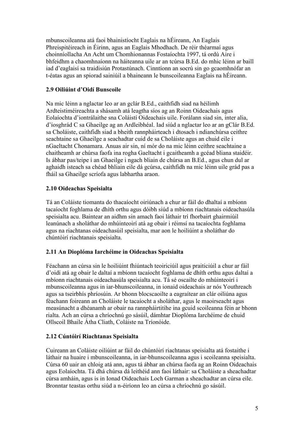mbunscoileanna atá faoi bhainistíocht Eaglais na hÉireann, An Eaglais Phreispitéireach in Éirinn, agus an Eaglais Mhodhach. De réir théarmaí agus choinníollacha An Acht um Chomhionannas Fostaíochta 1997, tá ordú Aire i bhfeidhm a chaomhnaíonn na háiteanna uile ar an tcúrsa B.Ed. do mhic léinn ar baill iad d'eaglaisí sa traidisiún Protastúnach. Cinntíonn an socrú sin go gcaomhnófar an t-éatas agus an spiorad sainiúil a bhaineann le bunscoileanna Eaglais na hÉireann.

### 2.9 Oiliúint d'Oidí Bunscoile

Na mic léinn a nglactar leo ar an gclár B.Ed., caithfidh siad na héilimh Ardteistiméireachta a shásamh atá leagtha síos ag an Roinn Oideachais agus Eolaíochta d'iontrálaithe sna Coláistí Oideachais uile. Forálann siad sin, inter alia, d'íosghrád C sa Ghaeilge ag an Ardleibhéal. Iad siúd a nglactar leo ar an gClár B.Ed. sa Choláiste, caithfidh siad a bheith rannpháirteach i dtosach i ndianchúrsa ceithre seachtaine sa Ghaeilge a seachadtar cuid de sa Choláiste agus an chuid eile i nGaeltacht Chonamara. Anuas air sin, ní mór do na mic léinn ceithre seachtaine a chaitheamh ar chúrsa faofa ina rogha Gaeltacht i gcaitheamh a gcéad bliana staidéir. Is ábhar pas/teipe í an Ghaeilge i ngach bliain de chúrsa an B.Ed., agus chun dul ar aghaidh isteach sa chéad bhliain eile dá gcúrsa, caithfidh na mic léinn uile grád pas a fháil sa Ghaeilge scríofa agus labhartha araon.

# 2.10 Oideachas Speisialta

Tá an Coláiste tiomanta do thacaíocht oiriúnach a chur ar fáil do dhaltaí a mbíonn tacaíocht foghlama de dhíth orthu agus dóibh siúd a mbíonn riachtanais oideachasúla speisialta acu. Baintear an aidhm sin amach faoi láthair trí fhorbairt ghairmiúil leanúnach a sholáthar do mhúinteoirí atá ag obair i réimsí na tacaíochta foghlama agus na riachtanas oideachasúil speisialta, mar aon le hoiliúint a sholáthar do chúntóirí riachtanais speisialta.

### 2.11 An Dioplóma Iarchéime in Oideachas Speisialta

Féachann an cúrsa sin le hoiliúint fhiúntach teoiriciúil agus praiticiúil a chur ar fáil d'oidí atá ag obair le daltaí a mbíonn tacaíocht foghlama de dhíth orthu agus daltaí a mbíonn riachtanais oideachasúla speisialta acu. Tá sé oscailte do mhúinteoirí i mbunscoileanna agus in iar-bhunscoileanna, in ionaid oideachais ar nós Youthreach agus sa tseirbhís phríosúin. Ar bhonn blocscaoilte a eagraítear an clár oiliúna agus féachann foireann an Choláiste le tacaíocht a sholáthar, agus le maoirseacht agus measúnacht a dhéanamh ar obair na rannpháirtitihe ina gcuid scoileanna féin ar bhonn rialta. Ach an cúrsa a chríochnú go sásúil, dámhtar Dioplóma Iarchéime de chuid Ollscoil Bhaile Átha Cliath, Coláiste na Tríonóide.

# 2.12 Cúntóirí Riachtanas Speisialta

Cuireann an Coláiste oiliúint ar fáil do chúntóirí riachtanas speisialta atá fostaithe i láthair na huaire i mbunscoileanna, in iar-bhunscoileanna agus i scoileanna speisialta. Cúrsa 60 uair an chloig atá ann, agus tá ábhar an chúrsa faofa ag an Roinn Oideachais agus Eolaíochta. Tá dhá chúrsa dá leithéid ann faoi láthair: sa Choláiste a sheachadtar cúrsa amháin, agus is in Ionad Oideachais Loch Garman a sheachadtar an cúrsa eile. Bronntar teastas orthu siúd a n-éiríonn leo an cúrsa a chríochnú go sásúil.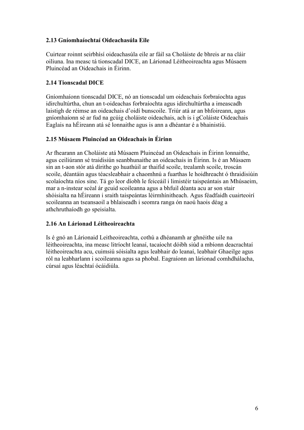### 2.13 Gníomhaíochtaí Oideachasúla Eile

Cuirtear roinnt seirbhísí oideachasúla eile ar fáil sa Choláiste de bhreis ar na cláir oiliuna. Ina measc tá tionscadal DICE, an Lárionad Léitheoireachta agus Músaem Pluincéad an Oideachais in Éirinn.

### 2.14 Tionscadal DICE

Gníomhaíonn tionscadal DICE, nó an tionscadal um oideachais forbraíochta agus idirchultúrtha, chun an t-oideachas forbraíochta agus idirchultúrtha a imeascadh laistigh de réimse an oideachais d'oidí bunscoile. Triúr atá ar an bhfoireann, agus gníomhaíonn sé ar fud na gcúig choláiste oideachais, ach is i gColáiste Oideachais Eaglais na hÉireann atá sé lonnaithe agus is ann a dhéantar é a bhainistiú.

### 2.15 Músaem Pluincéad an Oideachais in Éirinn

Ar fhearann an Choláiste atá Músaem Pluincéad an Oideachais in Éirinn lonnaithe, agus ceiliúrann sé traidisiún seanbhunaithe an oideachais in Éirinn. Is é an Músaem sin an t-aon stór atá dírithe go huathúil ar thaifid scoile, trealamh scoile, troscán scoile, déantáin agus téacsleabhair a chaomhnú a fuarthas le hoidhreacht ó thraidisiúin scolaíochta níos sine. Tá go leor díobh le feiceáil i limistéir taispeántais an Mhúsaeim, mar a n-instear scéal ár gcuid scoileanna agus a bhfuil déanta acu ar son stair shóisialta na hÉireann i sraith taispeántas léirmhínitheach. Agus féadfaidh cuairteoirí scoileanna an tseansaoil a bhlaiseadh i seomra ranga ón naoú haois déag a athchruthaíodh go speisialta.

### 2.16 An Lárionad Léitheoireachta

Is é gnó an Lárionaid Leitheoireachta, cothú a dhéanamh ar ghnéithe uile na léitheoireachta, ina measc litríocht leanaí, tacaíocht dóibh siúd a mbíonn deacrachtaí léitheoireachta acu, cuimsiú sóisialta agus leabhair do leanaí, leabhair Ghaeilge agus ról na leabharlann i scoileanna agus sa phobal. Eagraíonn an lárionad comhdhálacha, cúrsaí agus léachtaí ócáidiúla.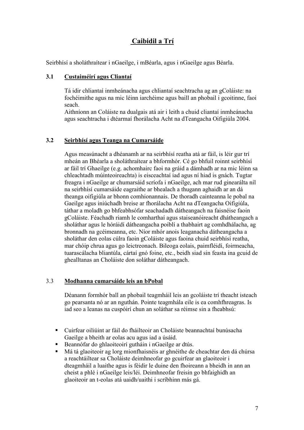# Caibidil a Trí

Seirbhísí a sholáthraítear i nGaeilge, i mBéarla, agus i nGaeilge agus Béarla.

### 3.1 Custaiméirí agus Cliantaí

Tá idir chliantaí inmheánacha agus chliantaí seachtracha ag an gColáiste: na fochéimithe agus na mic léinn iarchéime agus baill an phobail i gcoitinne, faoi seach.

Aithníonn an Coláiste na dualgais atá air i leith a chuid cliantaí inmheánacha agus seachtracha i dtéarmaí fhorálacha Acht na dTeangacha Oifigiúla 2004.

### 3.2 Seirbhísí agus Teanga na Cumarsáide

Agus measúnacht a dhéanamh ar na seirbhísí reatha atá ar fáil, is léir gur trí mheán an Bhéarla a sholáthraítear a bhformhór. Cé go bhfuil roinnt seirbhísí ar fáil trí Ghaeilge (e.g. achomhairc faoi na gráid a dámhadh ar na mic léinn sa chleachtadh múinteoireachta) is eisceachtaí iad agus ní hiad is gnách. Tugtar freagra i nGaeilge ar chumarsáid scríofa i nGaeilge, ach mar rud ginearálta níl na seirbhísí cumarsáide eagraithe ar bhealach a thugann aghaidh ar an dá theanga oifigiúla ar bhonn comhionannais. De thoradh cainteanna le pobal na Gaeilge agus iniúchadh breise ar fhorálacha Acht na dTeangacha Oifigiúla, táthar a moladh go bhfeabhsófar seachadadh dátheangach na faisnéise faoin gColáiste. Féachadh riamh le comharthaí agus staiseanóireacht dhátheangach a sholáthar agus le hóráidí dátheangacha poiblí a thabhairt ag comhdhálacha, ag bronnadh na gcéimeanna, etc. Níor mhór anois leaganacha dátheangacha a sholáthar den eolas cúlra faoin gColáiste agus faoina chuid seirbhísí reatha, mar chóip chrua agus go leictreonach. Bileoga eolais, paimfléidí, foirmeacha, tuarascálacha bliantúla, cártaí gnó foine, etc., beidh siad sin feasta ina gcuid de ghealltanas an Choláiste don soláthar dátheangach.

### 3.3 Modhanna cumarsáide leis an bPobal

Déanann formhór ball an phobail teagmháil leis an gcoláiste trí theacht isteach go pearsanta nó ar an nguthán. Pointe teagmhála eile is ea comhfhreagras. Is iad seo a leanas na cuspóirí chun an soláthar sa réimse sin a fheabhsú:

- Cuirfear oiliúint ar fáil do fháilteoir an Choláiste beannachtaí bunúsacha Gaeilge a bheith ar eolas acu agus iad a úsáid.
- Beannófar do ghlaoiteoirí gutháin i nGaeilge ar dtús.
- Má tá glaoiteoir ag lorg mionfhaisnéis ar ghnéithe de cheachtar den dá chúrsa a reachtáiltear sa Choláiste deimhneofar go gcuirfear an glaoiteoir i dteagmháil a luaithe agus is féidir le duine den fhoireann a bheidh in ann an cheist a phlé i nGaeilge leis/léi. Deimhneofar freisin go bhfaighidh an glaoiteoir an t-eolas atá uaidh/uaithi i scríbhinn más gá.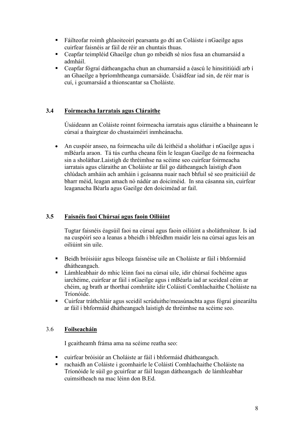- Fáilteofar roimh ghlaoiteoirí pearsanta go dtí an Coláiste i nGaeilge agus cuirfear faisnéis ar fáil de réir an chuntais thuas.
- Ceapfar teimpléid Ghaeilge chun go mbeidh sé níos fusa an chumarsáid a admháil.
- Ceapfar fógraí dátheangacha chun an chumarsáid a éascú le hinsititiúidí arb í an Ghaeilge a bpríomhtheanga cumarsáide. Úsáidfear iad sin, de réir mar is cuí, i gcumarsáid a thionscantar sa Choláiste.

# 3.4 Foirmeacha Iarratais agus Cláraithe

Úsáideann an Coláiste roinnt foirmeacha iarratais agus cláraithe a bhaineann le cúrsaí a thairgtear do chustaiméirí inmheánacha.

• An cuspóir anseo, na foirmeacha uile dá leithéid a sholáthar i nGaeilge agus i mBéarla araon. Tá tús curtha cheana féin le leagan Gaeilge de na foirmeacha sin a sholáthar.Laistigh de thréimhse na scéime seo cuirfear foirmeacha iarratais agus cláraithe an Choláiste ar fáil go dátheangach laistigh d'aon chlúdach amháin ach amháin i gcásanna nuair nach bhfuil sé seo praiticiúil de bharr méid, leagan amach nó nádúr an doiciméid. In sna cásanna sin, cuirfear leaganacha Béarla agus Gaeilge den doiciméad ar fail.

# 3.5 Faisnéis faoi Chúrsaí agus faoin Oiliúint

Tugtar faisnéis éagsúil faoi na cúrsaí agus faoin oiliúint a sholáthraítear. Is iad na cuspóirí seo a leanas a bheidh i bhfeidhm maidir leis na cúrsaí agus leis an oiliúint sin uile.

- Beidh bróisiúir agus bileoga faisnéise uile an Choláiste ar fáil i bhformáid dhátheangach.
- Lámhleabhair do mhic léinn faoi na cúrsaí uile, idir chúrsaí fochéime agus iarchéime, cuirfear ar fáil i nGaeilge agus i mBéarla iad ar sceideal céim ar chéim, ag brath ar thorthaí comhráite idir Coláistí Comhlachaithe Choláiste na Tríonóide.
- Cuirfear tráthchláir agus sceidil scrúduithe/measúnachta agus fógraí ginearálta ar fáil i bhformáid dhátheangach laistigh de thréimhse na scéime seo.

# 3.6 Foilseacháin

I gcaitheamh fráma ama na scéime reatha seo:

- cuirfear bróisiúr an Choláiste ar fáil i bhformáid dhátheangach.
- rachaidh an Coláiste i gcomhairle le Coláistí Comhlachaithe Choláiste na Tríonóide le súil go gcuirfear ar fáil leagan dátheangach de lámhleabhar cuimsitheach na mac léinn don B.Ed.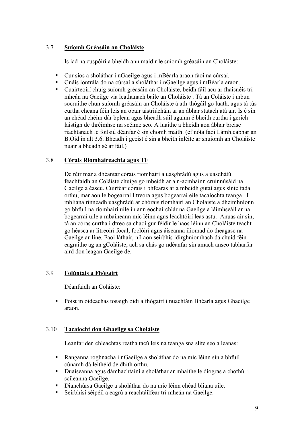### 3.7 Suíomh Gréasáin an Choláiste

Is iad na cuspóirí a bheidh ann maidir le suíomh gréasáin an Choláiste:

- Cur síos a sholáthar i nGaeilge agus i mBéarla araon faoi na cúrsaí.
- Gnáis iontrála do na cúrsaí a sholáthar i nGaeilge agus i mBéarla araon.
- Cuairteoirí chuig suíomh gréasáin an Choláiste, beidh fáil acu ar fhaisnéis trí mheán na Gaeilge via leathanach baile an Choláiste . Tá an Coláiste i mbun socruithe chun suíomh gréasáin an Choláiste á ath-thógáil go luath, agus tá tús curtha cheana féin leis an obair aistriúcháin ar an ábhar statach atá air. Is é sin an chéad chéim dár bplean agus bheadh súil againn é bheith curtha i gcrích laistigh de thréimhse na scéime seo. A luaithe a bheidh aon ábhar breise riachtanach le foilsiú déanfar é sin chomh maith. (cf nóta faoi Lámhleabhar an B.Oid in alt 3.6. Bheadh i gceist é sin a bheith inléite ar shuíomh an Choláiste nuair a bheadh sé ar fáil.)

# 3.8 Córais Ríomhaireachta agus TF

De réir mar a dhéantar córais ríomhairí a uasghrádú agus a uasdhátú féachfaidh an Coláiste chuige go mbeidh ar a n-acmhainn cruinnúsáid na Gaeilge a éascú. Cuirfear córais i bhfearas ar a mbeidh gutaí agus sínte fada orthu, mar aon le bogearraí litreora agus bogearraí eile tacaíochta teanga. I mbliana rinneadh uasghrádú ar chórais ríomhairí an Choláiste a dheimhníonn go bhfuil na ríomhairí uile in ann eochairchlár na Gaeilge a láimhseáil ar na bogearraí uile a mbaineann mic léinn agus léachtóirí leas astu. Anuas air sin, tá an córas curtha i dtreo sa chaoi gur féidir le haos léinn an Choláiste teacht go héasca ar litreoirí focal, foclóirí agus áiseanna iliomad do theagasc na Gaeilge ar-líne. Faoi láthair, níl aon seirbhís idirghníomhach dá chuid féin eagraithe ag an gColáiste, ach sa chás go ndéanfar sin amach anseo tabharfar aird don leagan Gaeilge de.

# 3.9 Folúntais a Fhógairt

Déanfaidh an Coláiste:

 Poist in oideachas tosaigh oidí a fhógairt i nuachtáin Bhéarla agus Ghaeilge araon.

# 3.10 Tacaiocht don Ghaeilge sa Choláiste

Leanfar den chleachtas reatha tacú leis na teanga sna slite seo a leanas:

- Ranganna roghnacha i nGaeilge a sholáthar do na mic léinn sin a bhfuil cúnamh dá leithéid de dhíth orthu.
- Duaiseanna agus dámhachtainí a sholáthar ar mhaithe le díogras a chothú i scileanna Gaeilge.
- Dianchúrsa Gaeilge a sholáthar do na mic léinn chéad bliana uile.
- Seirbhísí séipéil a eagrú a reachtáilfear trí mheán na Gaeilge.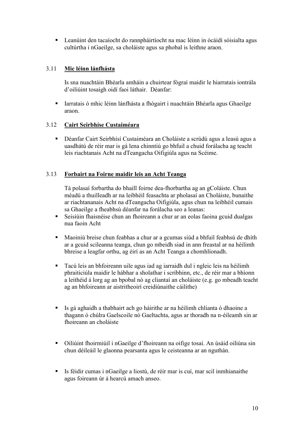Leanúint den tacaíocht do rannpháirtíocht na mac léinn in ócáidí sóisialta agus cultúrtha i nGaeilge, sa choláiste agus sa phobal is leithne araon.

# 3.11 Mic léinn lánfhásta

Is sna nuachtáin Bhéarla amháin a chuirtear fógraí maidir le hiarratais iontrála d'oiliúint tosaigh oidí faoi láthair. Déanfar:

 Iarratais ó mhic léinn lánfhásta a fhógairt i nuachtáin Bhéarla agus Ghaeilge araon.

### 3.12 Cairt Seirbhíse Custaiméara

 Déanfar Cairt Seirbhísí Custaiméara an Choláiste a scrúdú agus a leasú agus a uasdhátú de réir mar is gá lena chinntiú go bhfuil a chuid forálacha ag teacht leis riachtanais Acht na dTeangacha Oifigiúla agus na Scéime.

### 3.13 Forbairt na Foirne maidir leis an Acht Teanga

Tá polasaí forbartha do bhaill foirne dea-fhorbartha ag an gColáiste. Chun méadú a thuilleadh ar na leibhéil feasachta ar pholasaí an Choláiste, bunaithe ar riachtananais Acht na dTeangacha Oifigiúla, agus chun na leibhéil cumais sa Ghaeilge a fheabhsú déanfar na forálacha seo a leanas:

- Seisiúin fhaisnéise chun an fhoireann a chur ar an eolas faoina gcuid dualgas nua faoin Acht
- Maoiniú breise chun feabhas a chur ar a gcumas siúd a bhfuil feabhsú de dhíth ar a gcuid scileanna teanga, chun go mbeidh siad in ann freastal ar na héilimh bhreise a leagfar orthu, ag éirí as an Acht Teanga a chomhlíonadh.
- Tacú leis an bhfoireann uile agus iad ag iarraidh dul i ngleic leis na héilimh phraiticiúla maidir le hábhar a sholathar i scríbhinn, etc., de réir mar a bhíonn a leithéid á lorg ag an bpobal nó ag cliantaí an choláiste (e.g. go mbeadh teacht ag an bhfoireann ar aistritheoirí creidiúnaithe cáilithe)
- Is gá aghaidh a thabhairt ach go háirithe ar na héilimh chlianta ó dhaoine a thagann ó chúlra Gaelscoile nó Gaeltachta, agus ar thoradh na n-éileamh sin ar fhoireann an choláiste
- Oiliúint fhoirmiúil i nGaeilge d'fhoireann na oifige tosaí. An úsáid oiliúna sin chun déileáil le glaonna pearsanta agus le ceisteanna ar an nguthán.
- Is féidir cumas i nGaeilge a liostú, de réir mar is cuí, mar scil inmhianaithe agus foireann úr á hearcú amach anseo.